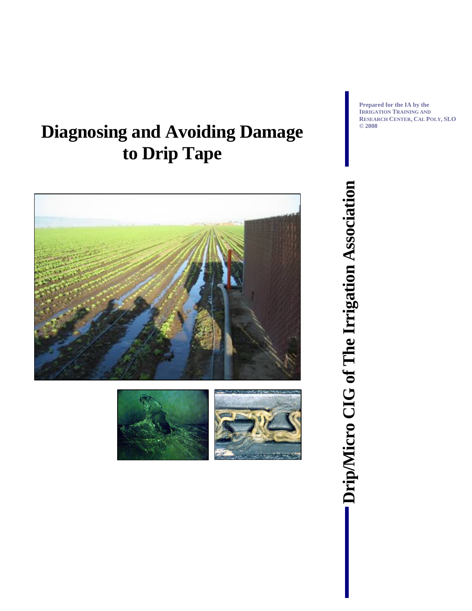# **Diagnosing and Avoiding Damage to Drip Tape**





**Prepared for the IA by the IRRIGATION TRAINING AND RESEARCH CENTER, CAL POLY, SLO © 2008** 

**Drip/Micro CIG of The Irrigation Association** 

Drip/Micro CIG of The Irrigation Association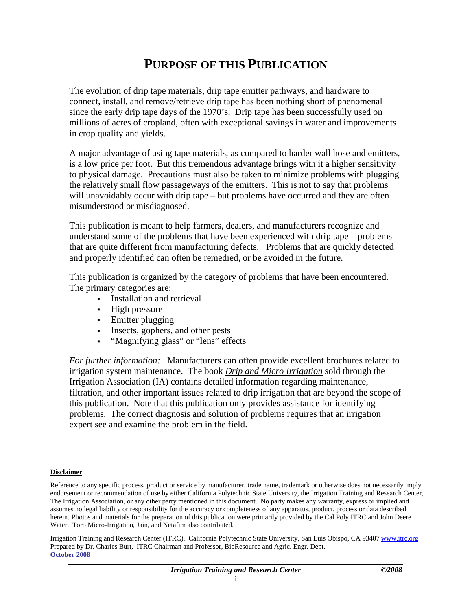#### **PURPOSE OF THIS PUBLICATION**

<span id="page-1-0"></span>The evolution of drip tape materials, drip tape emitter pathways, and hardware to connect, install, and remove/retrieve drip tape has been nothing short of phenomenal since the early drip tape days of the 1970's. Drip tape has been successfully used on millions of acres of cropland, often with exceptional savings in water and improvements in crop quality and yields.

A major advantage of using tape materials, as compared to harder wall hose and emitters, is a low price per foot. But this tremendous advantage brings with it a higher sensitivity to physical damage. Precautions must also be taken to minimize problems with plugging the relatively small flow passageways of the emitters. This is not to say that problems will unavoidably occur with drip tape – but problems have occurred and they are often misunderstood or misdiagnosed.

This publication is meant to help farmers, dealers, and manufacturers recognize and understand some of the problems that have been experienced with drip tape – problems that are quite different from manufacturing defects. Problems that are quickly detected and properly identified can often be remedied, or be avoided in the future.

This publication is organized by the category of problems that have been encountered. The primary categories are:

- **Installation and retrieval**
- High pressure
- Emitter plugging
- Insects, gophers, and other pests
- "Magnifying glass" or "lens" effects

*For further information:* Manufacturers can often provide excellent brochures related to irrigation system maintenance. The book *Drip and Micro Irrigation* sold through the Irrigation Association (IA) contains detailed information regarding maintenance, filtration, and other important issues related to drip irrigation that are beyond the scope of this publication. Note that this publication only provides assistance for identifying problems. The correct diagnosis and solution of problems requires that an irrigation expert see and examine the problem in the field.

#### **Disclaimer**

Reference to any specific process, product or service by manufacturer, trade name, trademark or otherwise does not necessarily imply endorsement or recommendation of use by either California Polytechnic State University, the Irrigation Training and Research Center, The Irrigation Association, or any other party mentioned in this document. No party makes any warranty, express or implied and assumes no legal liability or responsibility for the accuracy or completeness of any apparatus, product, process or data described herein. Photos and materials for the preparation of this publication were primarily provided by the Cal Poly ITRC and John Deere Water. Toro Micro-Irrigation, Jain, and Netafim also contributed.

Irrigation Training and Research Center (ITRC). California Polytechnic State University, San Luis Obispo, CA 93407 www.itrc.org Prepared by Dr. Charles Burt, ITRC Chairman and Professor, BioResource and Agric. Engr. Dept. **October 2008**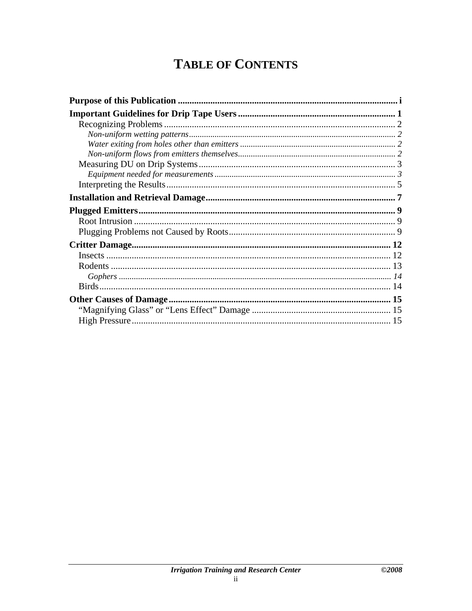## **TABLE OF CONTENTS**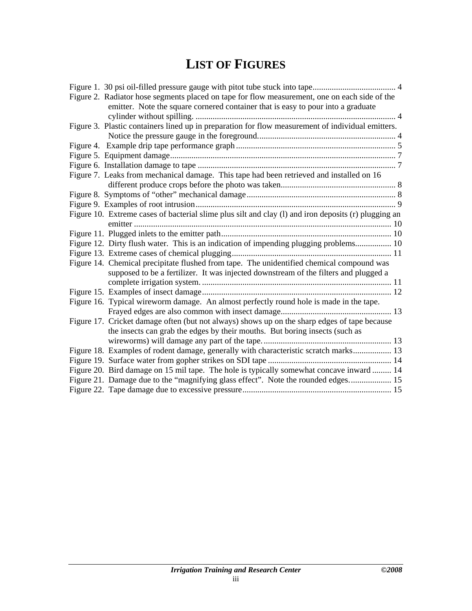## **LIST OF FIGURES**

| Figure 2. Radiator hose segments placed on tape for flow measurement, one on each side of the        |  |
|------------------------------------------------------------------------------------------------------|--|
| emitter. Note the square cornered container that is easy to pour into a graduate                     |  |
|                                                                                                      |  |
| Figure 3. Plastic containers lined up in preparation for flow measurement of individual emitters.    |  |
|                                                                                                      |  |
|                                                                                                      |  |
|                                                                                                      |  |
|                                                                                                      |  |
| Figure 7. Leaks from mechanical damage. This tape had been retrieved and installed on 16             |  |
|                                                                                                      |  |
|                                                                                                      |  |
|                                                                                                      |  |
| Figure 10. Extreme cases of bacterial slime plus silt and clay (l) and iron deposits (r) plugging an |  |
|                                                                                                      |  |
|                                                                                                      |  |
| Figure 12. Dirty flush water. This is an indication of impending plugging problems 10                |  |
|                                                                                                      |  |
| Figure 14. Chemical precipitate flushed from tape. The unidentified chemical compound was            |  |
| supposed to be a fertilizer. It was injected downstream of the filters and plugged a                 |  |
|                                                                                                      |  |
|                                                                                                      |  |
| Figure 16. Typical wireworm damage. An almost perfectly round hole is made in the tape.              |  |
|                                                                                                      |  |
| Figure 17. Cricket damage often (but not always) shows up on the sharp edges of tape because         |  |
| the insects can grab the edges by their mouths. But boring insects (such as                          |  |
|                                                                                                      |  |
| Figure 18. Examples of rodent damage, generally with characteristic scratch marks 13                 |  |
|                                                                                                      |  |
| Figure 20. Bird damage on 15 mil tape. The hole is typically somewhat concave inward  14             |  |
| Figure 21. Damage due to the "magnifying glass effect". Note the rounded edges 15                    |  |
|                                                                                                      |  |
|                                                                                                      |  |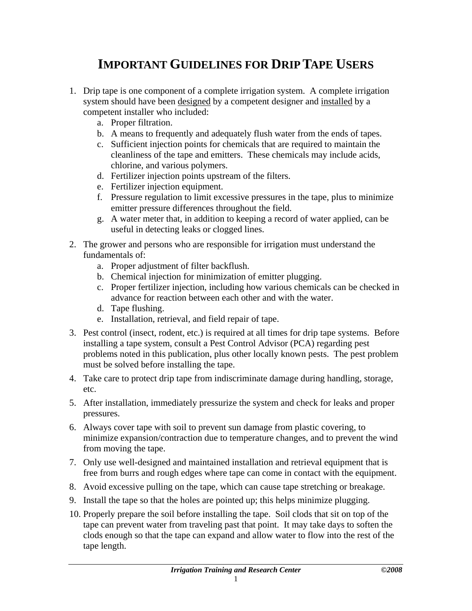### **IMPORTANT GUIDELINES FOR DRIP TAPE USERS**

- <span id="page-4-0"></span>1. Drip tape is one component of a complete irrigation system. A complete irrigation system should have been designed by a competent designer and installed by a competent installer who included:
	- a. Proper filtration.
	- b. A means to frequently and adequately flush water from the ends of tapes.
	- c. Sufficient injection points for chemicals that are required to maintain the cleanliness of the tape and emitters. These chemicals may include acids, chlorine, and various polymers.
	- d. Fertilizer injection points upstream of the filters.
	- e. Fertilizer injection equipment.
	- f. Pressure regulation to limit excessive pressures in the tape, plus to minimize emitter pressure differences throughout the field.
	- g. A water meter that, in addition to keeping a record of water applied, can be useful in detecting leaks or clogged lines.
- 2. The grower and persons who are responsible for irrigation must understand the fundamentals of:
	- a. Proper adjustment of filter backflush.
	- b. Chemical injection for minimization of emitter plugging.
	- c. Proper fertilizer injection, including how various chemicals can be checked in advance for reaction between each other and with the water.
	- d. Tape flushing.
	- e. Installation, retrieval, and field repair of tape.
- 3. Pest control (insect, rodent, etc.) is required at all times for drip tape systems. Before installing a tape system, consult a Pest Control Advisor (PCA) regarding pest problems noted in this publication, plus other locally known pests. The pest problem must be solved before installing the tape.
- 4. Take care to protect drip tape from indiscriminate damage during handling, storage, etc.
- 5. After installation, immediately pressurize the system and check for leaks and proper pressures.
- 6. Always cover tape with soil to prevent sun damage from plastic covering, to minimize expansion/contraction due to temperature changes, and to prevent the wind from moving the tape.
- 7. Only use well-designed and maintained installation and retrieval equipment that is free from burrs and rough edges where tape can come in contact with the equipment.
- 8. Avoid excessive pulling on the tape, which can cause tape stretching or breakage.
- 9. Install the tape so that the holes are pointed up; this helps minimize plugging.
- 10. Properly prepare the soil before installing the tape. Soil clods that sit on top of the tape can prevent water from traveling past that point. It may take days to soften the clods enough so that the tape can expand and allow water to flow into the rest of the tape length.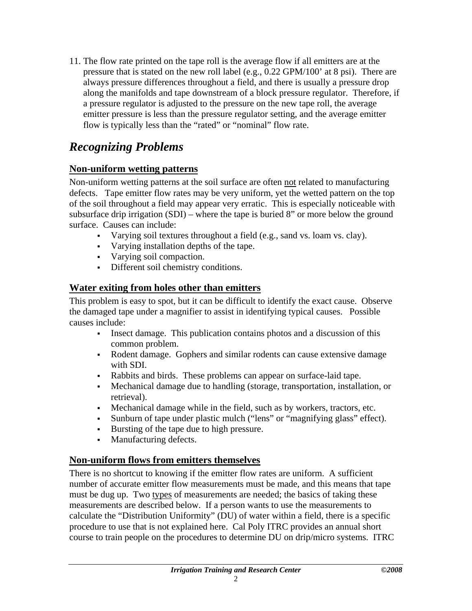<span id="page-5-0"></span>11. The flow rate printed on the tape roll is the average flow if all emitters are at the pressure that is stated on the new roll label (e.g., 0.22 GPM/100' at 8 psi). There are always pressure differences throughout a field, and there is usually a pressure drop along the manifolds and tape downstream of a block pressure regulator. Therefore, if a pressure regulator is adjusted to the pressure on the new tape roll, the average emitter pressure is less than the pressure regulator setting, and the average emitter flow is typically less than the "rated" or "nominal" flow rate.

#### *Recognizing Problems*

#### **Non-uniform wetting patterns**

Non-uniform wetting patterns at the soil surface are often not related to manufacturing defects. Tape emitter flow rates may be very uniform, yet the wetted pattern on the top of the soil throughout a field may appear very erratic. This is especially noticeable with subsurface drip irrigation (SDI) – where the tape is buried 8" or more below the ground surface. Causes can include:

- Varying soil textures throughout a field (e.g., sand vs. loam vs. clay).
- Varying installation depths of the tape.
- Varying soil compaction.
- Different soil chemistry conditions.

#### **Water exiting from holes other than emitters**

This problem is easy to spot, but it can be difficult to identify the exact cause. Observe the damaged tape under a magnifier to assist in identifying typical causes. Possible causes include:

- Insect damage. This publication contains photos and a discussion of this common problem.
- Rodent damage. Gophers and similar rodents can cause extensive damage with SDI.
- Rabbits and birds. These problems can appear on surface-laid tape.
- Mechanical damage due to handling (storage, transportation, installation, or retrieval).
- Mechanical damage while in the field, such as by workers, tractors, etc.
- Sunburn of tape under plastic mulch ("lens" or "magnifying glass" effect).
- Bursting of the tape due to high pressure.
- Manufacturing defects.

#### **Non-uniform flows from emitters themselves**

There is no shortcut to knowing if the emitter flow rates are uniform. A sufficient number of accurate emitter flow measurements must be made, and this means that tape must be dug up. Two types of measurements are needed; the basics of taking these measurements are described below. If a person wants to use the measurements to calculate the "Distribution Uniformity" (DU) of water within a field, there is a specific procedure to use that is not explained here. Cal Poly ITRC provides an annual short course to train people on the procedures to determine DU on drip/micro systems. ITRC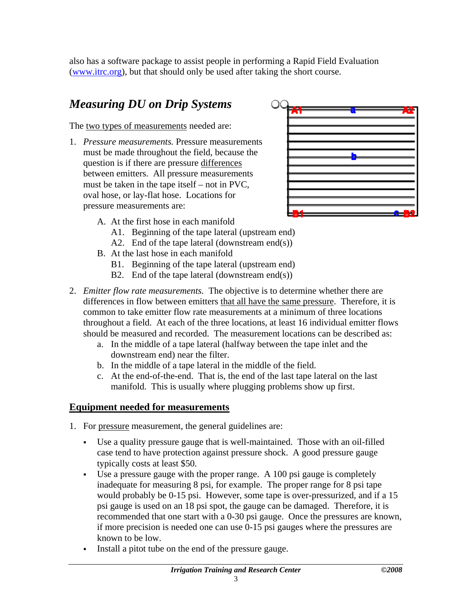<span id="page-6-0"></span>also has a software package to assist people in performing a Rapid Field Evaluation ([www.itrc.org\)](http://www.itrc.org/), but that should only be used after taking the short course.

### *Measuring DU on Drip Systems*

The two types of measurements needed are:

1. *Pressure measurements.* Pressure measurements must be made throughout the field, because the question is if there are pressure differences between emitters. All pressure measurements must be taken in the tape itself – not in PVC, oval hose, or lay-flat hose. Locations for pressure measurements are:



- A. At the first hose in each manifold
	- A1. Beginning of the tape lateral (upstream end)
	- A2. End of the tape lateral (downstream end(s))
- B. At the last hose in each manifold
	- B1. Beginning of the tape lateral (upstream end)
	- B2. End of the tape lateral (downstream end(s))
- 2. *Emitter flow rate measurements.* The objective is to determine whether there are differences in flow between emitters that all have the same pressure. Therefore, it is common to take emitter flow rate measurements at a minimum of three locations throughout a field. At each of the three locations, at least 16 individual emitter flows should be measured and recorded. The measurement locations can be described as:
	- a. In the middle of a tape lateral (halfway between the tape inlet and the downstream end) near the filter.
	- b. In the middle of a tape lateral in the middle of the field.
	- c. At the end-of-the-end. That is, the end of the last tape lateral on the last manifold. This is usually where plugging problems show up first.

#### **Equipment needed for measurements**

- 1. For pressure measurement, the general guidelines are:
	- Use a quality pressure gauge that is well-maintained. Those with an oil-filled case tend to have protection against pressure shock. A good pressure gauge typically costs at least \$50.
	- Use a pressure gauge with the proper range. A 100 psi gauge is completely inadequate for measuring 8 psi, for example. The proper range for 8 psi tape would probably be 0-15 psi. However, some tape is over-pressurized, and if a 15 psi gauge is used on an 18 psi spot, the gauge can be damaged. Therefore, it is recommended that one start with a 0-30 psi gauge. Once the pressures are known, if more precision is needed one can use 0-15 psi gauges where the pressures are known to be low.
	- Install a pitot tube on the end of the pressure gauge.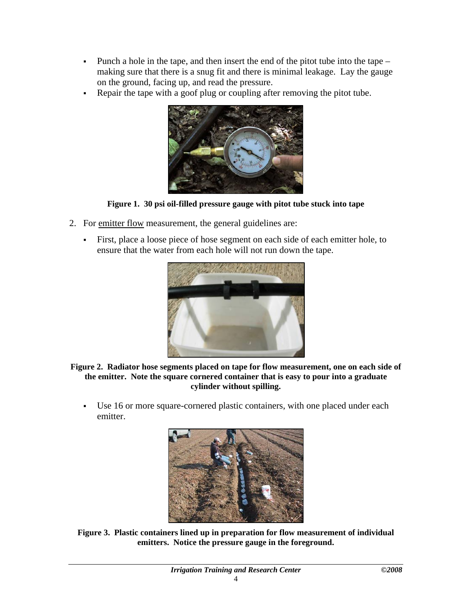- <span id="page-7-0"></span> Punch a hole in the tape, and then insert the end of the pitot tube into the tape – making sure that there is a snug fit and there is minimal leakage. Lay the gauge on the ground, facing up, and read the pressure.
- Repair the tape with a goof plug or coupling after removing the pitot tube.



**Figure 1. 30 psi oil-filled pressure gauge with pitot tube stuck into tape** 

- 2. For emitter flow measurement, the general guidelines are:
	- First, place a loose piece of hose segment on each side of each emitter hole, to ensure that the water from each hole will not run down the tape.



**Figure 2. Radiator hose segments placed on tape for flow measurement, one on each side of the emitter. Note the square cornered container that is easy to pour into a graduate cylinder without spilling.** 

 Use 16 or more square-cornered plastic containers, with one placed under each emitter.



**Figure 3. Plastic containers lined up in preparation for flow measurement of individual emitters. Notice the pressure gauge in the foreground.**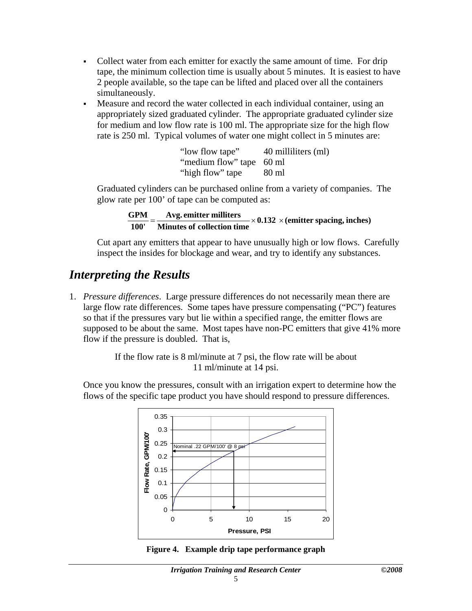- <span id="page-8-0"></span> Collect water from each emitter for exactly the same amount of time. For drip tape, the minimum collection time is usually about 5 minutes. It is easiest to have 2 people available, so the tape can be lifted and placed over all the containers simultaneously.
- Measure and record the water collected in each individual container, using an appropriately sized graduated cylinder. The appropriate graduated cylinder size for medium and low flow rate is 100 ml. The appropriate size for the high flow rate is 250 ml. Typical volumes of water one might collect in 5 minutes are:

| "low flow tape"          | 40 milliliters (ml) |
|--------------------------|---------------------|
| "medium flow" tape 60 ml |                     |
| "high flow" tape         | 80 ml               |

Graduated cylinders can be purchased online from a variety of companies. The glow rate per 100' of tape can be computed as:

 $\frac{GPM}{100'} = \frac{Avg.$  emitter milliters  $\times 0.132 \times$  (emitter spacing, inches)

Cut apart any emitters that appear to have unusually high or low flows. Carefully inspect the insides for blockage and wear, and try to identify any substances.

#### *Interpreting the Results*

1. *Pressure differences*. Large pressure differences do not necessarily mean there are large flow rate differences. Some tapes have pressure compensating ("PC") features so that if the pressures vary but lie within a specified range, the emitter flows are supposed to be about the same. Most tapes have non-PC emitters that give 41% more flow if the pressure is doubled. That is,

> If the flow rate is 8 ml/minute at 7 psi, the flow rate will be about 11 ml/minute at 14 psi.

Once you know the pressures, consult with an irrigation expert to determine how the flows of the specific tape product you have should respond to pressure differences.



**Figure 4. Example drip tape performance graph**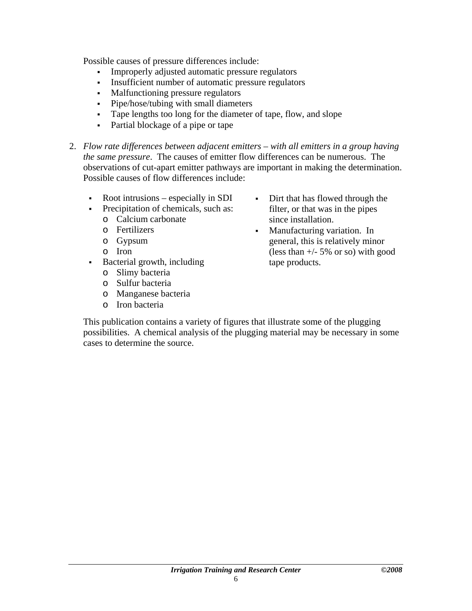Possible causes of pressure differences include:

- Improperly adjusted automatic pressure regulators
- Insufficient number of automatic pressure regulators
- Malfunctioning pressure regulators
- Pipe/hose/tubing with small diameters
- Tape lengths too long for the diameter of tape, flow, and slope
- Partial blockage of a pipe or tape
- 2. *Flow rate differences between adjacent emitters with all emitters in a group having the same pressure*. The causes of emitter flow differences can be numerous. The observations of cut-apart emitter pathways are important in making the determination. Possible causes of flow differences include:
	- Root intrusions especially in SDI
	- Precipitation of chemicals, such as:
		- o Calcium carbonate
		- o Fertilizers
		- o Gypsum
		- o Iron
	- Bacterial growth, including
		- o Slimy bacteria
		- o Sulfur bacteria
		- o Manganese bacteria
		- o Iron bacteria
- Dirt that has flowed through the filter, or that was in the pipes since installation.
- Manufacturing variation. In general, this is relatively minor (less than  $+/- 5\%$  or so) with good tape products.

This publication contains a variety of figures that illustrate some of the plugging possibilities. A chemical analysis of the plugging material may be necessary in some cases to determine the source.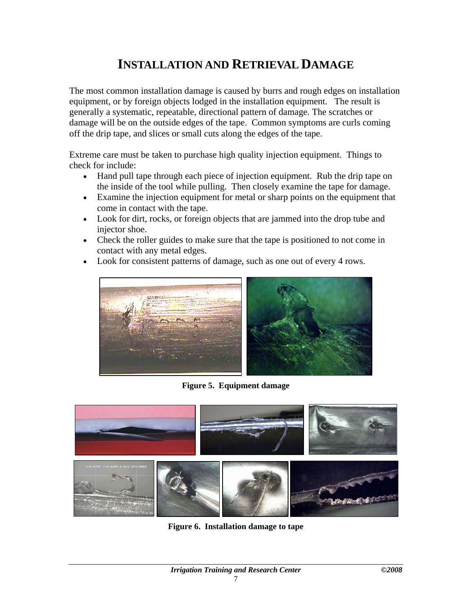### **INSTALLATION AND RETRIEVAL DAMAGE**

<span id="page-10-0"></span>The most common installation damage is caused by burrs and rough edges on installation equipment, or by foreign objects lodged in the installation equipment. The result is generally a systematic, repeatable, directional pattern of damage. The scratches or damage will be on the outside edges of the tape. Common symptoms are curls coming off the drip tape, and slices or small cuts along the edges of the tape.

Extreme care must be taken to purchase high quality injection equipment. Things to check for include:

- Hand pull tape through each piece of injection equipment. Rub the drip tape on the inside of the tool while pulling. Then closely examine the tape for damage.
- Examine the injection equipment for metal or sharp points on the equipment that come in contact with the tape.
- Look for dirt, rocks, or foreign objects that are jammed into the drop tube and injector shoe.
- Check the roller guides to make sure that the tape is positioned to not come in contact with any metal edges.
- Look for consistent patterns of damage, such as one out of every 4 rows.



**Figure 5. Equipment damage** 



**Figure 6. Installation damage to tape**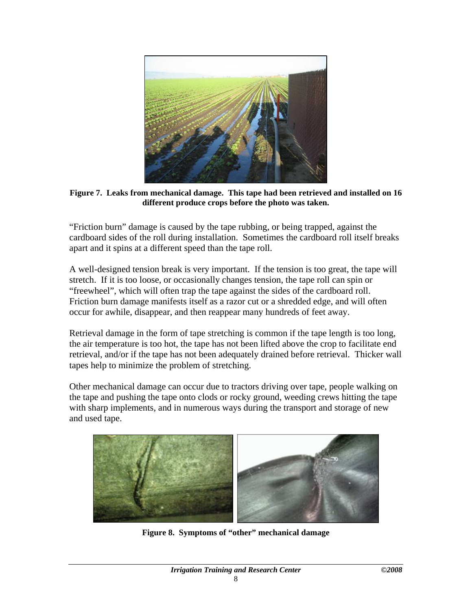<span id="page-11-0"></span>

**Figure 7. Leaks from mechanical damage. This tape had been retrieved and installed on 16 different produce crops before the photo was taken.** 

"Friction burn" damage is caused by the tape rubbing, or being trapped, against the cardboard sides of the roll during installation. Sometimes the cardboard roll itself breaks apart and it spins at a different speed than the tape roll.

A well-designed tension break is very important. If the tension is too great, the tape will stretch. If it is too loose, or occasionally changes tension, the tape roll can spin or "freewheel", which will often trap the tape against the sides of the cardboard roll. Friction burn damage manifests itself as a razor cut or a shredded edge, and will often occur for awhile, disappear, and then reappear many hundreds of feet away.

Retrieval damage in the form of tape stretching is common if the tape length is too long, the air temperature is too hot, the tape has not been lifted above the crop to facilitate end retrieval, and/or if the tape has not been adequately drained before retrieval. Thicker wall tapes help to minimize the problem of stretching.

Other mechanical damage can occur due to tractors driving over tape, people walking on the tape and pushing the tape onto clods or rocky ground, weeding crews hitting the tape with sharp implements, and in numerous ways during the transport and storage of new and used tape.



**Figure 8. Symptoms of "other" mechanical damage**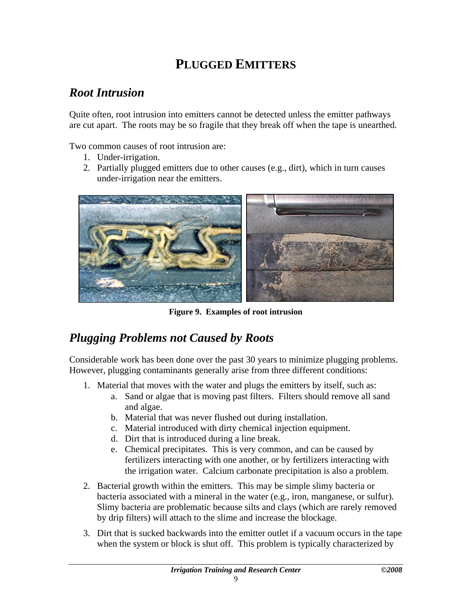### **PLUGGED EMITTERS**

#### <span id="page-12-0"></span>*Root Intrusion*

Quite often, root intrusion into emitters cannot be detected unless the emitter pathways are cut apart. The roots may be so fragile that they break off when the tape is unearthed.

Two common causes of root intrusion are:

- 1. Under-irrigation.
- 2. Partially plugged emitters due to other causes (e.g., dirt), which in turn causes under-irrigation near the emitters.



**Figure 9. Examples of root intrusion** 

#### *Plugging Problems not Caused by Roots*

Considerable work has been done over the past 30 years to minimize plugging problems. However, plugging contaminants generally arise from three different conditions:

- 1. Material that moves with the water and plugs the emitters by itself, such as:
	- a. Sand or algae that is moving past filters. Filters should remove all sand and algae.
	- b. Material that was never flushed out during installation.
	- c. Material introduced with dirty chemical injection equipment.
	- d. Dirt that is introduced during a line break.
	- e. Chemical precipitates. This is very common, and can be caused by fertilizers interacting with one another, or by fertilizers interacting with the irrigation water. Calcium carbonate precipitation is also a problem.
- 2. Bacterial growth within the emitters. This may be simple slimy bacteria or bacteria associated with a mineral in the water (e.g., iron, manganese, or sulfur). Slimy bacteria are problematic because silts and clays (which are rarely removed by drip filters) will attach to the slime and increase the blockage.
- 3. Dirt that is sucked backwards into the emitter outlet if a vacuum occurs in the tape when the system or block is shut off. This problem is typically characterized by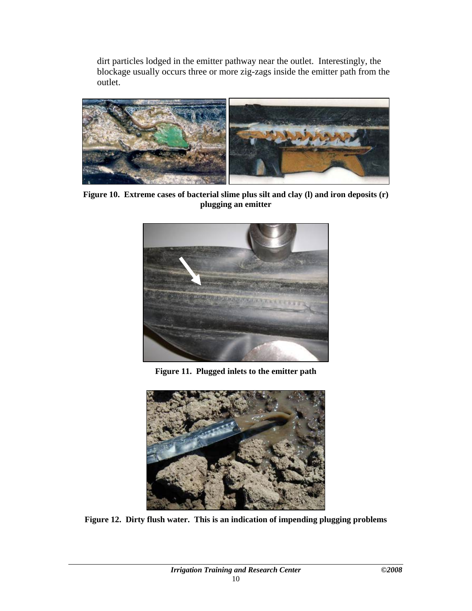<span id="page-13-0"></span>dirt particles lodged in the emitter pathway near the outlet. Interestingly, the blockage usually occurs three or more zig-zags inside the emitter path from the outlet.



**Figure 10. Extreme cases of bacterial slime plus silt and clay (l) and iron deposits (r) plugging an emitter** 



**Figure 11. Plugged inlets to the emitter path** 



**Figure 12. Dirty flush water. This is an indication of impending plugging problems**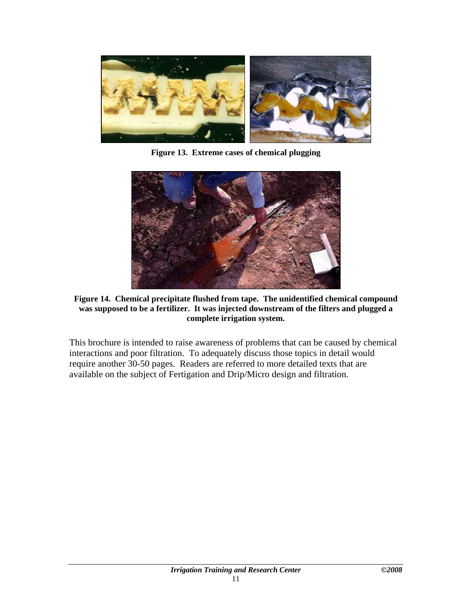<span id="page-14-0"></span>

**Figure 13. Extreme cases of chemical plugging** 



**Figure 14. Chemical precipitate flushed from tape. The unidentified chemical compound was supposed to be a fertilizer. It was injected downstream of the filters and plugged a complete irrigation system.** 

This brochure is intended to raise awareness of problems that can be caused by chemical interactions and poor filtration. To adequately discuss those topics in detail would require another 30-50 pages. Readers are referred to more detailed texts that are available on the subject of Fertigation and Drip/Micro design and filtration.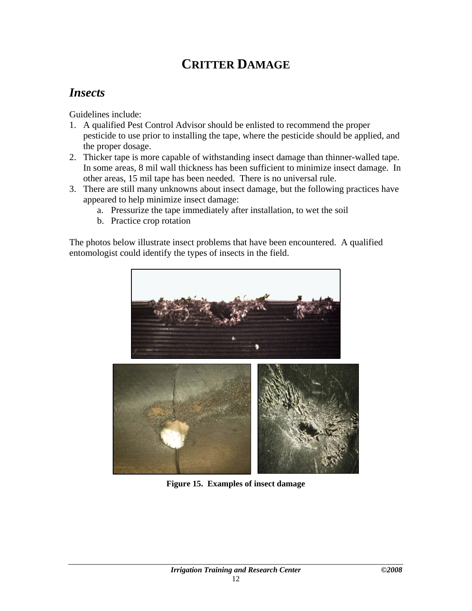### **CRITTER DAMAGE**

#### <span id="page-15-0"></span>*Insects*

Guidelines include:

- 1. A qualified Pest Control Advisor should be enlisted to recommend the proper pesticide to use prior to installing the tape, where the pesticide should be applied, and the proper dosage.
- 2. Thicker tape is more capable of withstanding insect damage than thinner-walled tape. In some areas, 8 mil wall thickness has been sufficient to minimize insect damage. In other areas, 15 mil tape has been needed. There is no universal rule.
- 3. There are still many unknowns about insect damage, but the following practices have appeared to help minimize insect damage:
	- a. Pressurize the tape immediately after installation, to wet the soil
	- b. Practice crop rotation

The photos below illustrate insect problems that have been encountered. A qualified entomologist could identify the types of insects in the field.



**Figure 15. Examples of insect damage**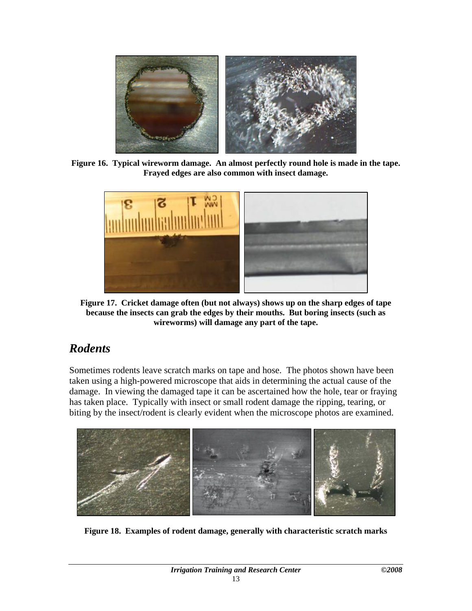<span id="page-16-0"></span>

**Figure 16. Typical wireworm damage. An almost perfectly round hole is made in the tape. Frayed edges are also common with insect damage.** 



**Figure 17. Cricket damage often (but not always) shows up on the sharp edges of tape because the insects can grab the edges by their mouths. But boring insects (such as wireworms) will damage any part of the tape.** 

#### *Rodents*

Sometimes rodents leave scratch marks on tape and hose. The photos shown have been taken using a high-powered microscope that aids in determining the actual cause of the damage. In viewing the damaged tape it can be ascertained how the hole, tear or fraying has taken place. Typically with insect or small rodent damage the ripping, tearing, or biting by the insect/rodent is clearly evident when the microscope photos are examined.



**Figure 18. Examples of rodent damage, generally with characteristic scratch marks**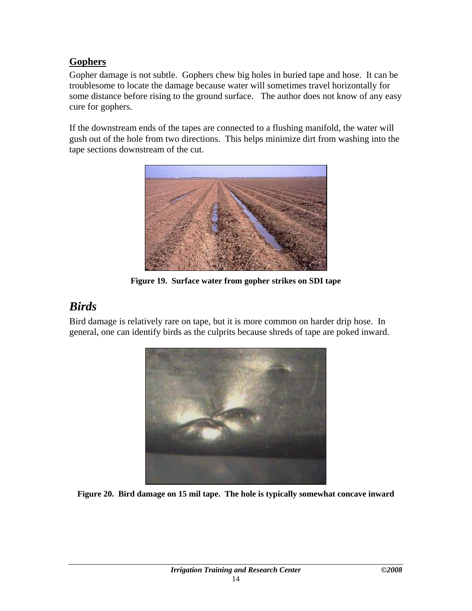#### <span id="page-17-0"></span>**Gophers**

Gopher damage is not subtle. Gophers chew big holes in buried tape and hose. It can be troublesome to locate the damage because water will sometimes travel horizontally for some distance before rising to the ground surface. The author does not know of any easy cure for gophers.

If the downstream ends of the tapes are connected to a flushing manifold, the water will gush out of the hole from two directions. This helps minimize dirt from washing into the tape sections downstream of the cut.



**Figure 19. Surface water from gopher strikes on SDI tape** 

#### *Birds*

Bird damage is relatively rare on tape, but it is more common on harder drip hose. In general, one can identify birds as the culprits because shreds of tape are poked inward.



**Figure 20. Bird damage on 15 mil tape. The hole is typically somewhat concave inward**